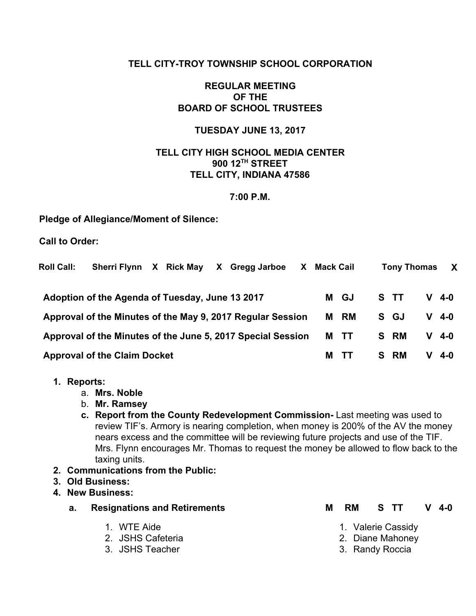# **TELL CITY-TROY TOWNSHIP SCHOOL CORPORATION**

# **REGULAR MEETING OF THE BOARD OF SCHOOL TRUSTEES**

### **TUESDAY JUNE 13, 2017**

# **TELL CITY HIGH SCHOOL MEDIA CENTER 900 12 TH STREET TELL CITY, INDIANA 47586**

### **7:00 P.M.**

### **Pledge of Allegiance/Moment of Silence:**

**Call to Order:**

| <b>Roll Call:</b>                                          | Sherri Flynn X Rick May                         |  |  |  | X Gregg Jarboe                                              | X.   | Mack Cail |      |         | <b>Tony Thomas</b> | $\mathbf{X}$ |
|------------------------------------------------------------|-------------------------------------------------|--|--|--|-------------------------------------------------------------|------|-----------|------|---------|--------------------|--------------|
|                                                            | Adoption of the Agenda of Tuesday, June 13 2017 |  |  |  |                                                             |      |           | M GJ | S TT    |                    | $V$ 4-0      |
| Approval of the Minutes of the May 9, 2017 Regular Session |                                                 |  |  |  |                                                             | M RM | S GJ      |      | $V$ 4-0 |                    |              |
|                                                            |                                                 |  |  |  | Approval of the Minutes of the June 5, 2017 Special Session |      |           | M TT | S RM    |                    | V 4-0        |
|                                                            | <b>Approval of the Claim Docket</b>             |  |  |  |                                                             |      | м         | - 11 | S RM    | v                  | 4-0          |

- **1. Reports:**
	- a. **Mrs. Noble**
	- b. **Mr. Ramsey**
	- **c. Report from the County Redevelopment Commission-** Last meeting was used to review TIF's. Armory is nearing completion, when money is 200% of the AV the money nears excess and the committee will be reviewing future projects and use of the TIF. Mrs. Flynn encourages Mr. Thomas to request the money be allowed to flow back to the taxing units.
- **2. Communications from the Public:**
- **3. Old Business:**
- **4. New Business:**
	- **a. Resignations and Retirements M RM S TT V 4-0**
		- 1. WTE Aide
		- 2. JSHS Cafeteria
		- 3. JSHS Teacher
- - 1. Valerie Cassidy
	- 2. Diane Mahoney
	- 3. Randy Roccia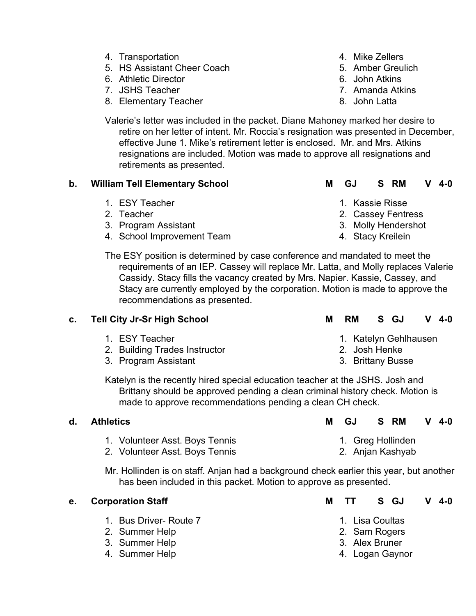- 4. Transportation
- 5. HS Assistant Cheer Coach
- 6. Athletic Director
- 7. JSHS Teacher
- 8. Elementary Teacher
- 4. Mike Zellers
- 5. Amber Greulich
- 6. John Atkins
- 7. Amanda Atkins
- 8. John Latta

Valerie's letter was included in the packet. Diane Mahoney marked her desire to retire on her letter of intent. Mr. Roccia's resignation was presented in December, effective June 1. Mike's retirement letter is enclosed. Mr. and Mrs. Atkins resignations are included. Motion was made to approve all resignations and retirements as presented.

# **b. William Tell Elementary School M GJ S RM V 4-0**

- 1. ESY Teacher
- 2. Teacher
- 3. Program Assistant
- 4. School Improvement Team

- 1. Kassie Risse
- 2. Cassey Fentress
- 3. Molly Hendershot
- 4. Stacy Kreilein

The ESY position is determined by case conference and mandated to meet the requirements of an IEP. Cassey will replace Mr. Latta, and Molly replaces Valerie Cassidy. Stacy fills the vacancy created by Mrs. Napier. Kassie, Cassey, and Stacy are currently employed by the corporation. Motion is made to approve the recommendations as presented.

# **c. Tell City Jr-Sr High School M RM S GJ V 4-0**

- 1. ESY Teacher
- 2. Building Trades Instructor
- 3. Program Assistant
- 1. Katelyn Gehlhausen
- 3. Brittany Busse

Katelyn is the recently hired special education teacher at the JSHS. Josh and Brittany should be approved pending a clean criminal history check. Motion is made to approve recommendations pending a clean CH check.

| d. Athletics                   | S RM<br>$V$ 4-0<br>GJ. |
|--------------------------------|------------------------|
| 1. Volunteer Asst. Boys Tennis | 1. Greg Hollinden      |
| 2. Volunteer Asst. Boys Tennis | 2. Anjan Kashyab       |

Mr. Hollinden is on staff. Anjan had a background check earlier this year, but another has been included in this packet. Motion to approve as presented.

| е. | <b>Corporation Staff</b>                                   | M TT S GJ<br>$V$ 4-0                               |
|----|------------------------------------------------------------|----------------------------------------------------|
|    | 1. Bus Driver- Route 7<br>2. Summer Help<br>3. Summer Help | 1. Lisa Coultas<br>2. Sam Rogers<br>3. Alex Bruner |
|    | 4. Summer Help                                             | 4. Logan Gaynor                                    |

- 
- 
- 
- 
- -
	- 2. Josh Henke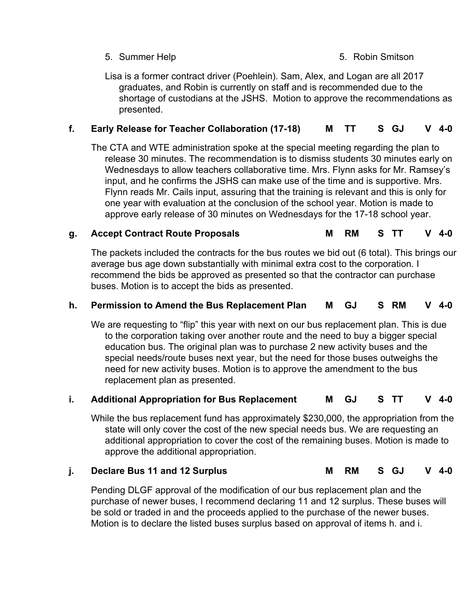# 5. Summer Help 5. Robin Smitson

Lisa is a former contract driver (Poehlein). Sam, Alex, and Logan are all 2017 graduates, and Robin is currently on staff and is recommended due to the shortage of custodians at the JSHS. Motion to approve the recommendations as presented.

# **f. Early Release for Teacher Collaboration (17-18) M TT S GJ V 4-0**

The CTA and WTE administration spoke at the special meeting regarding the plan to release 30 minutes. The recommendation is to dismiss students 30 minutes early on Wednesdays to allow teachers collaborative time. Mrs. Flynn asks for Mr. Ramsey's input, and he confirms the JSHS can make use of the time and is supportive. Mrs. Flynn reads Mr. Cails input, assuring that the training is relevant and this is only for one year with evaluation at the conclusion of the school year. Motion is made to approve early release of 30 minutes on Wednesdays for the 17-18 school year.

# **g. Accept Contract Route Proposals M RM S TT V 4-0**

The packets included the contracts for the bus routes we bid out (6 total). This brings our average bus age down substantially with minimal extra cost to the corporation. I recommend the bids be approved as presented so that the contractor can purchase buses. Motion is to accept the bids as presented.

# **h. Permission to Amend the Bus Replacement Plan M GJ S RM V 4-0**

We are requesting to "flip" this year with next on our bus replacement plan. This is due to the corporation taking over another route and the need to buy a bigger special education bus. The original plan was to purchase 2 new activity buses and the special needs/route buses next year, but the need for those buses outweighs the need for new activity buses. Motion is to approve the amendment to the bus replacement plan as presented.

### **i. Additional Appropriation for Bus Replacement M GJ S TT V 4-0**

While the bus replacement fund has approximately \$230,000, the appropriation from the state will only cover the cost of the new special needs bus. We are requesting an additional appropriation to cover the cost of the remaining buses. Motion is made to approve the additional appropriation.

# **j. Declare Bus 11 and 12 Surplus M RM S GJ V 4-0**

Pending DLGF approval of the modification of our bus replacement plan and the purchase of newer buses, I recommend declaring 11 and 12 surplus. These buses will be sold or traded in and the proceeds applied to the purchase of the newer buses. Motion is to declare the listed buses surplus based on approval of items h. and i.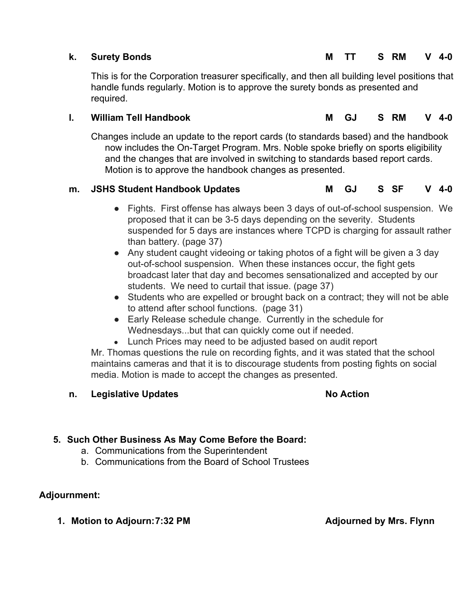This is for the Corporation treasurer specifically, and then all building level positions that handle funds regularly. Motion is to approve the surety bonds as presented and required.

# **l. William Tell Handbook M GJ S RM V 4-0**

Changes include an update to the report cards (to standards based) and the handbook now includes the On-Target Program. Mrs. Noble spoke briefly on sports eligibility and the changes that are involved in switching to standards based report cards. Motion is to approve the handbook changes as presented.

# **m. JSHS Student Handbook Updates M GJ S SF V 4-0**

- 
- Fights. First offense has always been 3 days of out-of-school suspension. We proposed that it can be 3-5 days depending on the severity. Students suspended for 5 days are instances where TCPD is charging for assault rather than battery. (page 37)
- Any student caught videoing or taking photos of a fight will be given a 3 day out-of-school suspension. When these instances occur, the fight gets broadcast later that day and becomes sensationalized and accepted by our students. We need to curtail that issue. (page 37)
- Students who are expelled or brought back on a contract; they will not be able to attend after school functions. (page 31)
- Early Release schedule change. Currently in the schedule for Wednesdays...but that can quickly come out if needed.
- Lunch Prices may need to be adjusted based on audit report

Mr. Thomas questions the rule on recording fights, and it was stated that the school maintains cameras and that it is to discourage students from posting fights on social media. Motion is made to accept the changes as presented.

# **n. Legislative Updates No Action**

# **5. Such Other Business As May Come Before the Board:**

- a. Communications from the Superintendent
- b. Communications from the Board of School Trustees

# **Adjournment:**

**1. Motion to Adjourn:7:32 PM Adjourned by Mrs. Flynn**

# **k. Surety Bonds M TT S RM V 4-0**